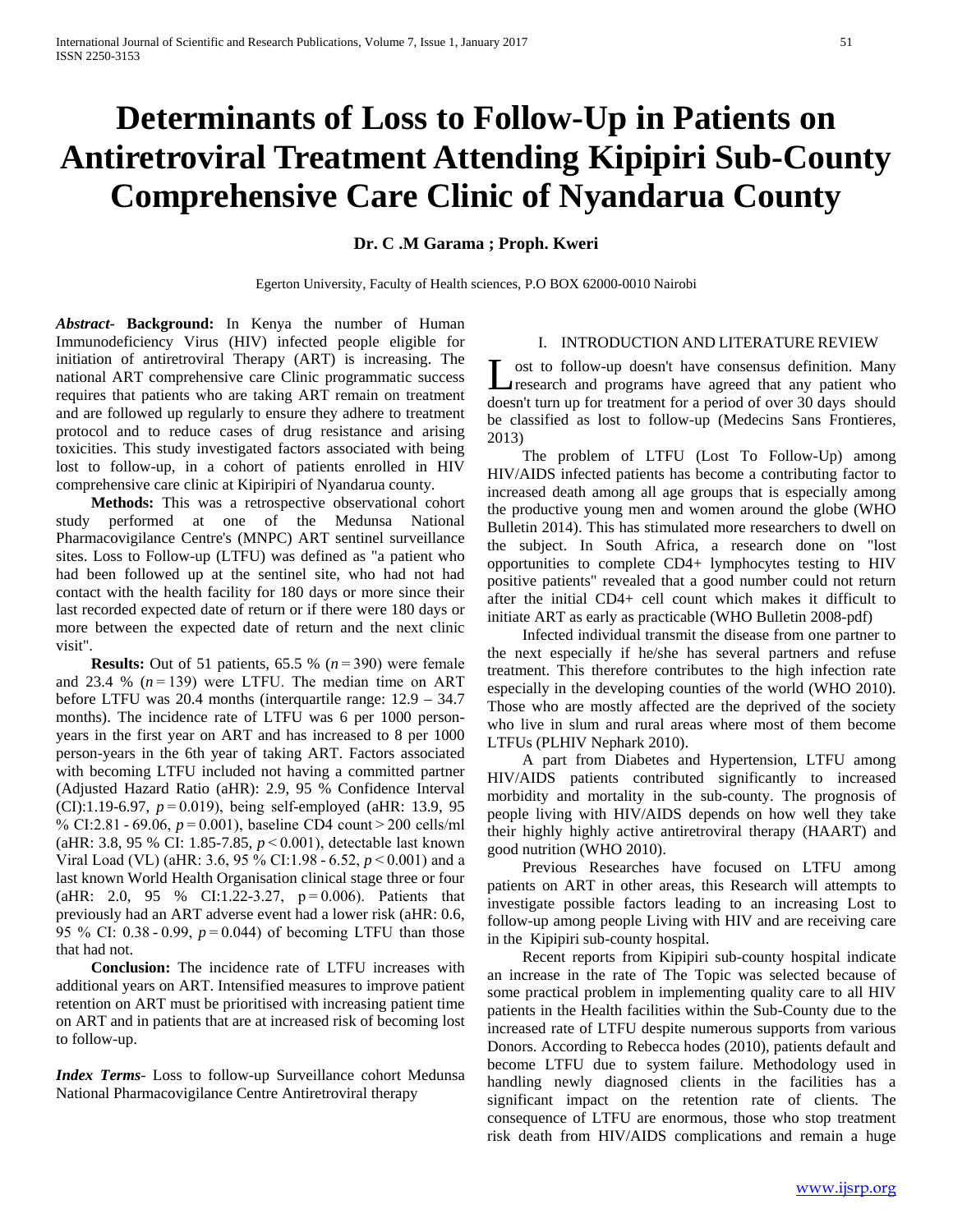# **Determinants of Loss to Follow-Up in Patients on Antiretroviral Treatment Attending Kipipiri Sub-County Comprehensive Care Clinic of Nyandarua County**

## **Dr. C .M Garama ; Proph. Kweri**

Egerton University, Faculty of Health sciences, P.O BOX 62000-0010 Nairobi

*Abstract***- Background:** In Kenya the number of Human Immunodeficiency Virus (HIV) infected people eligible for initiation of antiretroviral Therapy (ART) is increasing. The national ART comprehensive care Clinic programmatic success requires that patients who are taking ART remain on treatment and are followed up regularly to ensure they adhere to treatment protocol and to reduce cases of drug resistance and arising toxicities. This study investigated factors associated with being lost to follow-up, in a cohort of patients enrolled in HIV comprehensive care clinic at Kipiripiri of Nyandarua county.

 **Methods:** This was a retrospective observational cohort study performed at one of the Medunsa National Pharmacovigilance Centre's (MNPC) ART sentinel surveillance sites. Loss to Follow-up (LTFU) was defined as "a patient who had been followed up at the sentinel site, who had not had contact with the health facility for 180 days or more since their last recorded expected date of return or if there were 180 days or more between the expected date of return and the next clinic visit".

 **Results:** Out of 51 patients, 65.5 % (*n* = 390) were female and 23.4 % (*n* = 139) were LTFU. The median time on ART before LTFU was 20.4 months (interquartile range: 12.9 – 34.7 months). The incidence rate of LTFU was 6 per 1000 personyears in the first year on ART and has increased to 8 per 1000 person-years in the 6th year of taking ART. Factors associated with becoming LTFU included not having a committed partner (Adjusted Hazard Ratio (aHR): 2.9, 95 % Confidence Interval (CI):1.19-6.97, *p* = 0.019), being self-employed (aHR: 13.9, 95 % CI:2.81 - 69.06, *p* = 0.001), baseline CD4 count > 200 cells/ml (aHR: 3.8, 95 % CI: 1.85-7.85, *p* < 0.001), detectable last known Viral Load (VL) (aHR: 3.6, 95 % CI:1.98 - 6.52, *p* < 0.001) and a last known World Health Organisation clinical stage three or four (aHR: 2.0, 95 % CI:1.22-3.27, p = 0.006). Patients that previously had an ART adverse event had a lower risk (aHR: 0.6, 95 % CI: 0.38 - 0.99, *p* = 0.044) of becoming LTFU than those that had not.

 **Conclusion:** The incidence rate of LTFU increases with additional years on ART. Intensified measures to improve patient retention on ART must be prioritised with increasing patient time on ART and in patients that are at increased risk of becoming lost to follow-up.

*Index Terms*- Loss to follow-up Surveillance cohort Medunsa National Pharmacovigilance Centre Antiretroviral therapy

## I. INTRODUCTION AND LITERATURE REVIEW

ost to follow-up doesn't have consensus definition. Many Lost to follow-up doesn't have consensus definition. Many research and programs have agreed that any patient who doesn't turn up for treatment for a period of over 30 days should be classified as lost to follow-up (Medecins Sans Frontieres, 2013)

 The problem of LTFU (Lost To Follow-Up) among HIV/AIDS infected patients has become a contributing factor to increased death among all age groups that is especially among the productive young men and women around the globe (WHO Bulletin 2014). This has stimulated more researchers to dwell on the subject. In South Africa, a research done on "lost opportunities to complete CD4+ lymphocytes testing to HIV positive patients" revealed that a good number could not return after the initial CD4+ cell count which makes it difficult to initiate ART as early as practicable (WHO Bulletin 2008-pdf)

 Infected individual transmit the disease from one partner to the next especially if he/she has several partners and refuse treatment. This therefore contributes to the high infection rate especially in the developing counties of the world (WHO 2010). Those who are mostly affected are the deprived of the society who live in slum and rural areas where most of them become LTFUs (PLHIV Nephark 2010).

 A part from Diabetes and Hypertension, LTFU among HIV/AIDS patients contributed significantly to increased morbidity and mortality in the sub-county. The prognosis of people living with HIV/AIDS depends on how well they take their highly highly active antiretroviral therapy (HAART) and good nutrition (WHO 2010).

 Previous Researches have focused on LTFU among patients on ART in other areas, this Research will attempts to investigate possible factors leading to an increasing Lost to follow-up among people Living with HIV and are receiving care in the Kipipiri sub-county hospital.

 Recent reports from Kipipiri sub-county hospital indicate an increase in the rate of The Topic was selected because of some practical problem in implementing quality care to all HIV patients in the Health facilities within the Sub-County due to the increased rate of LTFU despite numerous supports from various Donors. According to Rebecca hodes (2010), patients default and become LTFU due to system failure. Methodology used in handling newly diagnosed clients in the facilities has a significant impact on the retention rate of clients. The consequence of LTFU are enormous, those who stop treatment risk death from HIV/AIDS complications and remain a huge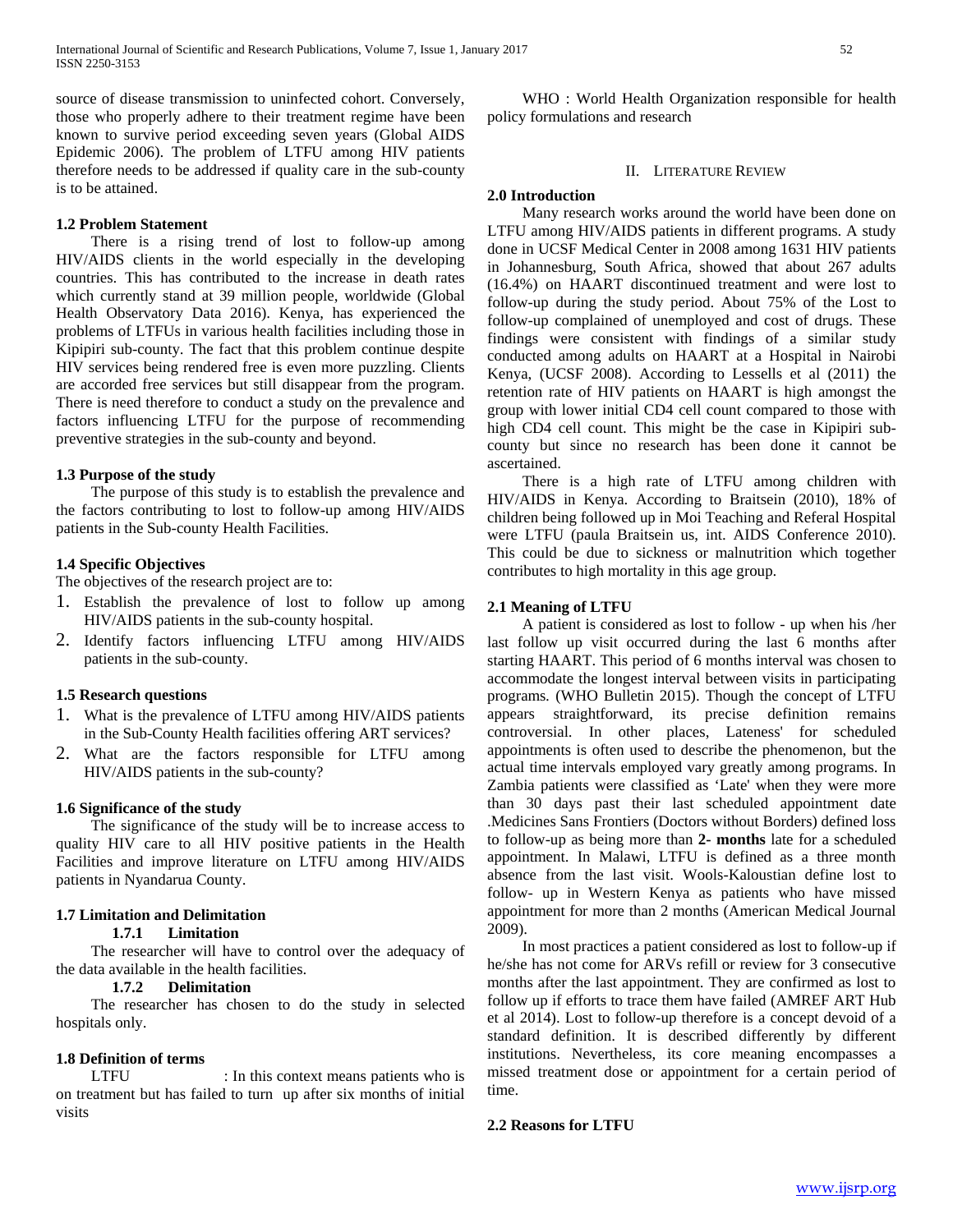source of disease transmission to uninfected cohort. Conversely, those who properly adhere to their treatment regime have been known to survive period exceeding seven years (Global AIDS Epidemic 2006). The problem of LTFU among HIV patients therefore needs to be addressed if quality care in the sub-county is to be attained.

#### **1.2 Problem Statement**

 There is a rising trend of lost to follow-up among HIV/AIDS clients in the world especially in the developing countries. This has contributed to the increase in death rates which currently stand at 39 million people, worldwide (Global Health Observatory Data 2016). Kenya, has experienced the problems of LTFUs in various health facilities including those in Kipipiri sub-county. The fact that this problem continue despite HIV services being rendered free is even more puzzling. Clients are accorded free services but still disappear from the program. There is need therefore to conduct a study on the prevalence and factors influencing LTFU for the purpose of recommending preventive strategies in the sub-county and beyond.

#### **1.3 Purpose of the study**

 The purpose of this study is to establish the prevalence and the factors contributing to lost to follow-up among HIV/AIDS patients in the Sub-county Health Facilities.

## **1.4 Specific Objectives**

The objectives of the research project are to:

- 1. Establish the prevalence of lost to follow up among HIV/AIDS patients in the sub-county hospital.
- 2. Identify factors influencing LTFU among HIV/AIDS patients in the sub-county.

## **1.5 Research questions**

- 1. What is the prevalence of LTFU among HIV/AIDS patients in the Sub-County Health facilities offering ART services?
- 2. What are the factors responsible for LTFU among HIV/AIDS patients in the sub-county?

## **1.6 Significance of the study**

 The significance of the study will be to increase access to quality HIV care to all HIV positive patients in the Health Facilities and improve literature on LTFU among HIV/AIDS patients in Nyandarua County.

## **1.7 Limitation and Delimitation**

## **1.7.1 Limitation**

 The researcher will have to control over the adequacy of the data available in the health facilities.

## **1.7.2 Delimitation**

 The researcher has chosen to do the study in selected hospitals only.

#### **1.8 Definition of terms**

LTFU : In this context means patients who is on treatment but has failed to turn up after six months of initial visits

 WHO : World Health Organization responsible for health policy formulations and research

#### II. LITERATURE REVIEW

#### **2.0 Introduction**

 Many research works around the world have been done on LTFU among HIV/AIDS patients in different programs. A study done in UCSF Medical Center in 2008 among 1631 HIV patients in Johannesburg, South Africa, showed that about 267 adults (16.4%) on HAART discontinued treatment and were lost to follow-up during the study period. About 75% of the Lost to follow-up complained of unemployed and cost of drugs. These findings were consistent with findings of a similar study conducted among adults on HAART at a Hospital in Nairobi Kenya, (UCSF 2008). According to Lessells et al (2011) the retention rate of HIV patients on HAART is high amongst the group with lower initial CD4 cell count compared to those with high CD4 cell count. This might be the case in Kipipiri subcounty but since no research has been done it cannot be ascertained.

 There is a high rate of LTFU among children with HIV/AIDS in Kenya. According to Braitsein (2010), 18% of children being followed up in Moi Teaching and Referal Hospital were LTFU (paula Braitsein us, int. AIDS Conference 2010). This could be due to sickness or malnutrition which together contributes to high mortality in this age group.

#### **2.1 Meaning of LTFU**

 A patient is considered as lost to follow - up when his /her last follow up visit occurred during the last 6 months after starting HAART. This period of 6 months interval was chosen to accommodate the longest interval between visits in participating programs*.* (WHO Bulletin 2015). Though the concept of LTFU appears straightforward, its precise definition remains controversial. In other places, Lateness' for scheduled appointments is often used to describe the phenomenon, but the actual time intervals employed vary greatly among programs. In Zambia patients were classified as 'Late' when they were more than 30 days past their last scheduled appointment date .Medicines Sans Frontiers (Doctors without Borders) defined loss to follow-up as being more than **2- months** late for a scheduled appointment. In Malawi, LTFU is defined as a three month absence from the last visit. Wools-Kaloustian define lost to follow- up in Western Kenya as patients who have missed appointment for more than 2 months (American Medical Journal 2009).

 In most practices a patient considered as lost to follow-up if he/she has not come for ARVs refill or review for 3 consecutive months after the last appointment. They are confirmed as lost to follow up if efforts to trace them have failed (AMREF ART Hub et al 2014). Lost to follow-up therefore is a concept devoid of a standard definition. It is described differently by different institutions. Nevertheless, its core meaning encompasses a missed treatment dose or appointment for a certain period of time.

### **2.2 Reasons for LTFU**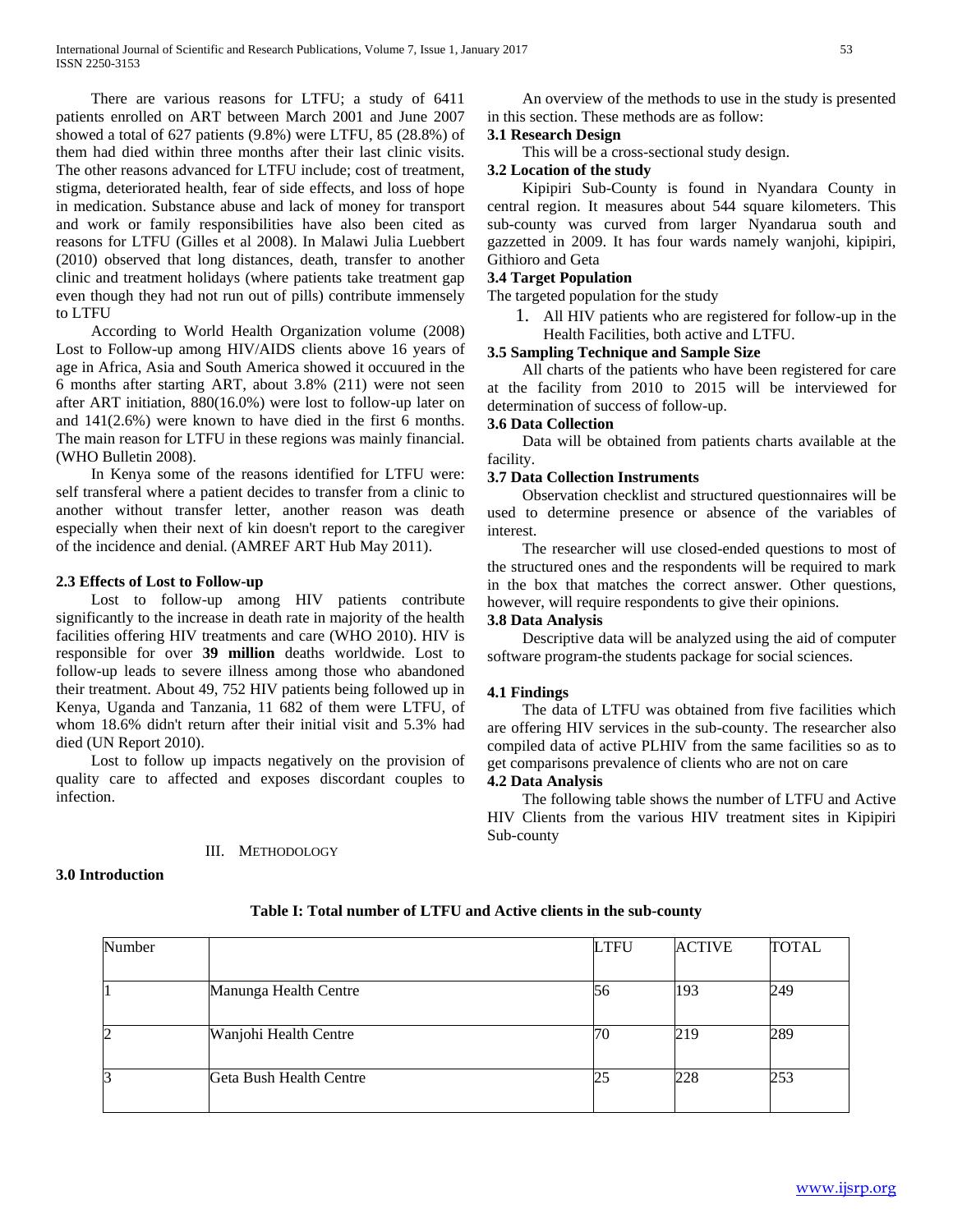There are various reasons for LTFU; a study of 6411 patients enrolled on ART between March 2001 and June 2007 showed a total of 627 patients (9.8%) were LTFU, 85 (28.8%) of them had died within three months after their last clinic visits. The other reasons advanced for LTFU include; cost of treatment, stigma, deteriorated health, fear of side effects, and loss of hope in medication. Substance abuse and lack of money for transport and work or family responsibilities have also been cited as reasons for LTFU (Gilles et al 2008). In Malawi Julia Luebbert (2010) observed that long distances, death, transfer to another clinic and treatment holidays (where patients take treatment gap even though they had not run out of pills) contribute immensely to LTFU

 According to World Health Organization volume (2008) Lost to Follow-up among HIV/AIDS clients above 16 years of age in Africa, Asia and South America showed it occuured in the 6 months after starting ART, about 3.8% (211) were not seen after ART initiation, 880(16.0%) were lost to follow-up later on and 141(2.6%) were known to have died in the first 6 months. The main reason for LTFU in these regions was mainly financial. (WHO Bulletin 2008).

 In Kenya some of the reasons identified for LTFU were: self transferal where a patient decides to transfer from a clinic to another without transfer letter, another reason was death especially when their next of kin doesn't report to the caregiver of the incidence and denial. (AMREF ART Hub May 2011).

## **2.3 Effects of Lost to Follow-up**

 Lost to follow-up among HIV patients contribute significantly to the increase in death rate in majority of the health facilities offering HIV treatments and care (WHO 2010). HIV is responsible for over **39 million** deaths worldwide. Lost to follow-up leads to severe illness among those who abandoned their treatment. About 49, 752 HIV patients being followed up in Kenya, Uganda and Tanzania, 11 682 of them were LTFU, of whom 18.6% didn't return after their initial visit and 5.3% had died (UN Report 2010).

 Lost to follow up impacts negatively on the provision of quality care to affected and exposes discordant couples to infection.

### III. METHODOLOGY

 An overview of the methods to use in the study is presented in this section. These methods are as follow: **3.1 Research Design**

This will be a cross-sectional study design.

# **3.2 Location of the study**

 Kipipiri Sub-County is found in Nyandara County in central region. It measures about 544 square kilometers. This sub-county was curved from larger Nyandarua south and gazzetted in 2009. It has four wards namely wanjohi, kipipiri, Githioro and Geta

## **3.4 Target Population**

The targeted population for the study

1. All HIV patients who are registered for follow-up in the Health Facilities, both active and LTFU.

# **3.5 Sampling Technique and Sample Size**

 All charts of the patients who have been registered for care at the facility from 2010 to 2015 will be interviewed for determination of success of follow-up.

## **3.6 Data Collection**

 Data will be obtained from patients charts available at the facility.

## **3.7 Data Collection Instruments**

 Observation checklist and structured questionnaires will be used to determine presence or absence of the variables of interest.

 The researcher will use closed-ended questions to most of the structured ones and the respondents will be required to mark in the box that matches the correct answer. Other questions, however, will require respondents to give their opinions.

## **3.8 Data Analysis**

 Descriptive data will be analyzed using the aid of computer software program-the students package for social sciences.

### **4.1 Findings**

 The data of LTFU was obtained from five facilities which are offering HIV services in the sub-county. The researcher also compiled data of active PLHIV from the same facilities so as to get comparisons prevalence of clients who are not on care

## **4.2 Data Analysis**

 The following table shows the number of LTFU and Active HIV Clients from the various HIV treatment sites in Kipipiri Sub-county

### **3.0 Introduction**

| Number |                         | <b>LTFU</b> | <b>ACTIVE</b> | TOTAL |
|--------|-------------------------|-------------|---------------|-------|
|        |                         |             |               |       |
|        | Manunga Health Centre   | 56          | 193           | 249   |
|        | Wanjohi Health Centre   | 70          | 219           | 289   |
|        | Geta Bush Health Centre | 25          | 228           | 253   |

## **Table I: Total number of LTFU and Active clients in the sub-county**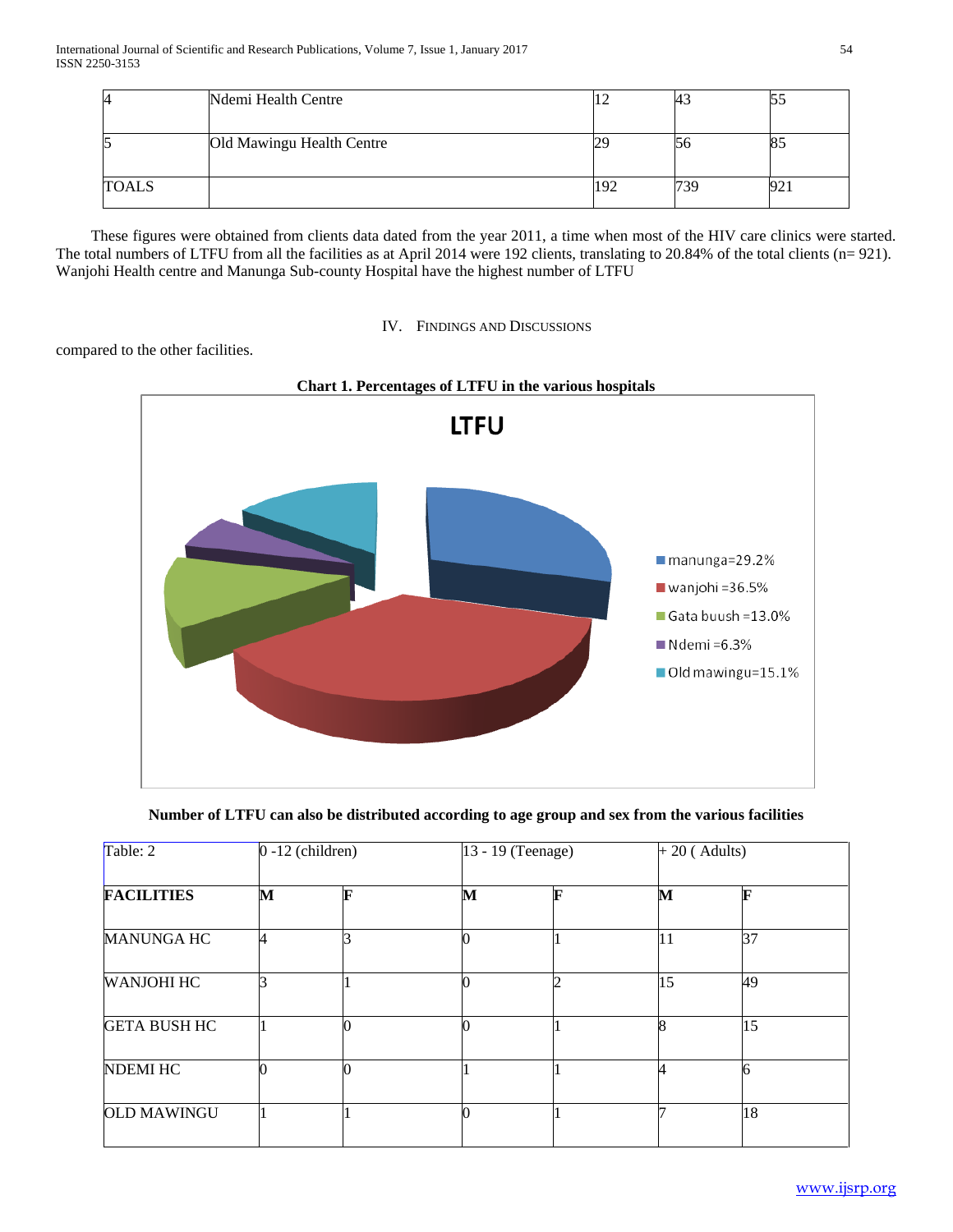| 4            | Ndemi Health Centre       | 12  | 43 | JJ       |
|--------------|---------------------------|-----|----|----------|
|              | Old Mawingu Health Centre | 29  | Dб | റ്യ      |
| <b>TOALS</b> |                           | 192 |    | ∩∩<br>ソム |

 These figures were obtained from clients data dated from the year 2011, a time when most of the HIV care clinics were started. The total numbers of LTFU from all the facilities as at April 2014 were 192 clients, translating to 20.84% of the total clients (n= 921). Wanjohi Health centre and Manunga Sub-county Hospital have the highest number of LTFU



# compared to the other facilities.



**Number of LTFU can also be distributed according to age group and sex from the various facilities**

| Table: 2            | $0 - 12$ (children) |   | 13 - 19 (Teenage) |   |    | $+20$ (Adults) |  |
|---------------------|---------------------|---|-------------------|---|----|----------------|--|
| <b>FACILITIES</b>   | M                   | F | М                 | F | М  | F              |  |
| <b>MANUNGA HC</b>   | 4                   | 2 |                   |   | 11 | 37             |  |
| <b>WANJOHI HC</b>   | ⌒                   |   |                   |   | 15 | 49             |  |
| <b>GETA BUSH HC</b> |                     |   |                   |   | Ō  | 15             |  |
| <b>NDEMI HC</b>     | n                   |   |                   |   |    | 6              |  |
| <b>OLD MAWINGU</b>  |                     |   |                   |   |    | 18             |  |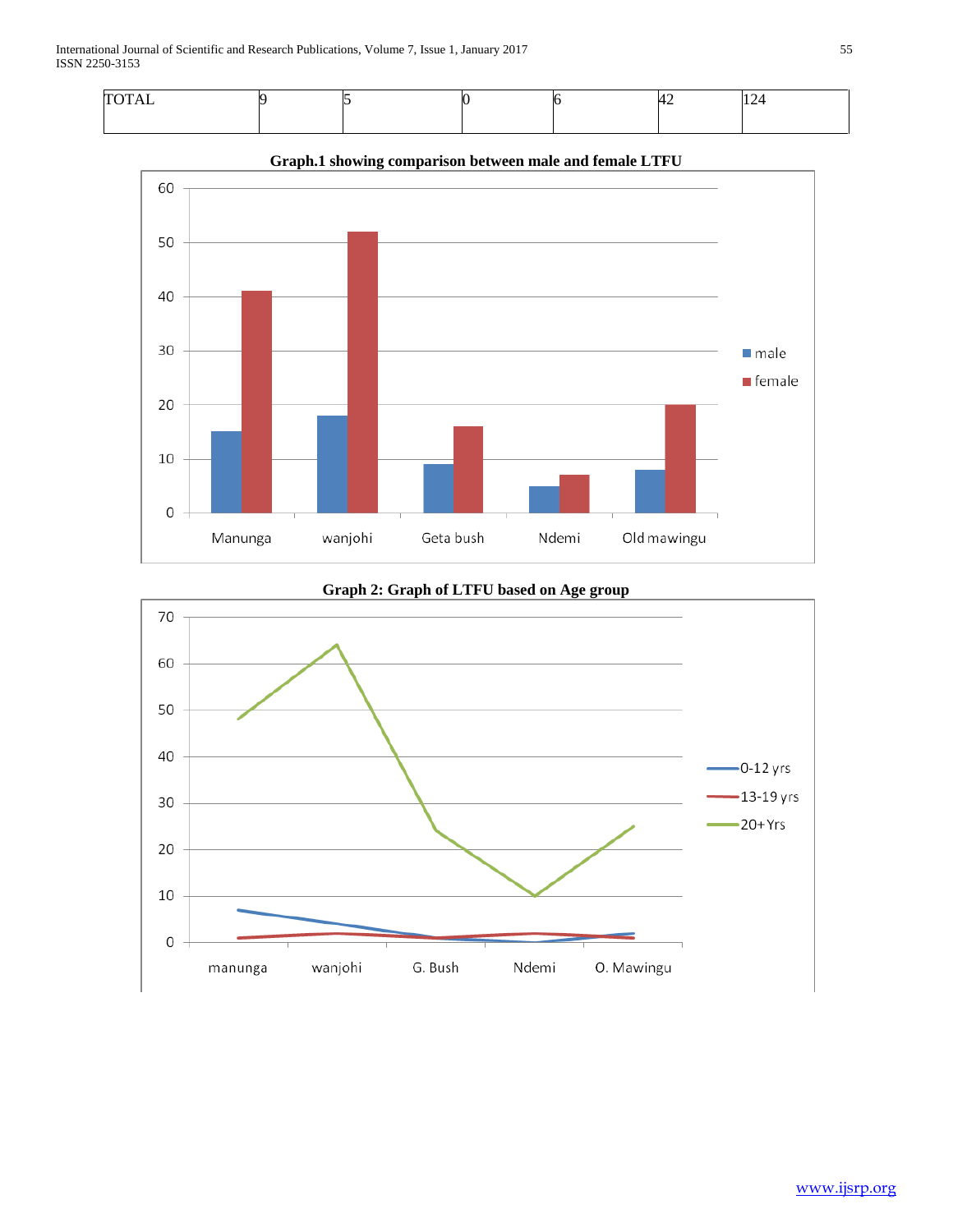



**Graph.1 showing comparison between male and female LTFU**



# **Graph 2: Graph of LTFU based on Age group**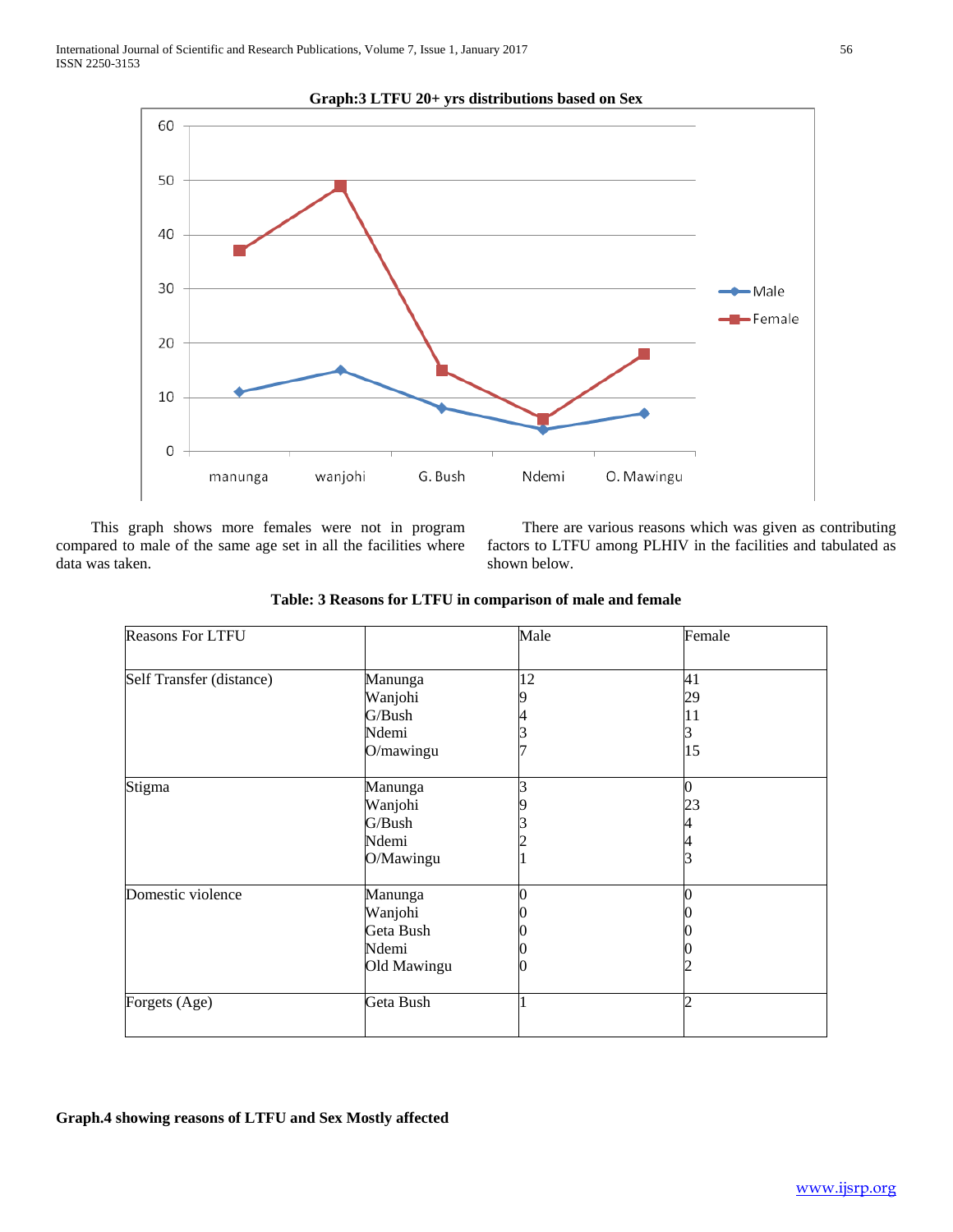

**Graph:3 LTFU 20+ yrs distributions based on Sex**

 This graph shows more females were not in program compared to male of the same age set in all the facilities where data was taken.

 There are various reasons which was given as contributing factors to LTFU among PLHIV in the facilities and tabulated as shown below.

| <b>Reasons For LTFU</b>  |             | Male | Female         |  |
|--------------------------|-------------|------|----------------|--|
| Self Transfer (distance) | Manunga     | 12   | 41             |  |
|                          | Wanjohi     |      | 29             |  |
|                          | G/Bush      |      | 11             |  |
|                          | Ndemi       |      |                |  |
|                          | O/mawingu   |      | 15             |  |
| Stigma                   | Manunga     | 3    | $\overline{0}$ |  |
|                          | Wanjohi     |      | 23             |  |
|                          | G/Bush      |      |                |  |
|                          | Ndemi       |      |                |  |
|                          | O/Mawingu   |      |                |  |
| Domestic violence        | Manunga     |      |                |  |
|                          | Wanjohi     |      |                |  |
|                          | Geta Bush   |      |                |  |
|                          | Ndemi       |      |                |  |
|                          | Old Mawingu |      |                |  |
| Forgets (Age)            | Geta Bush   |      |                |  |
|                          |             |      |                |  |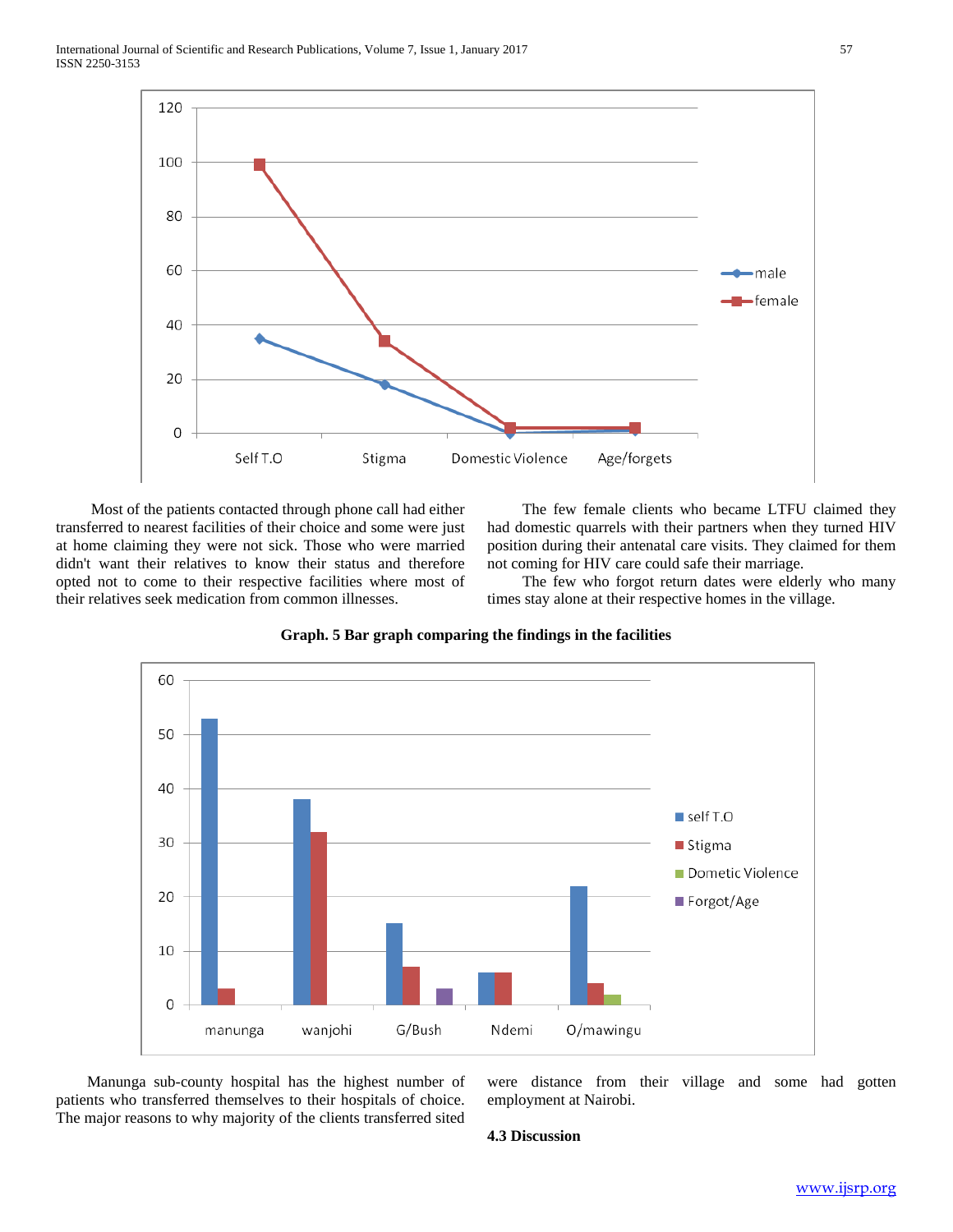

 Most of the patients contacted through phone call had either transferred to nearest facilities of their choice and some were just at home claiming they were not sick. Those who were married didn't want their relatives to know their status and therefore opted not to come to their respective facilities where most of their relatives seek medication from common illnesses.

 The few female clients who became LTFU claimed they had domestic quarrels with their partners when they turned HIV position during their antenatal care visits. They claimed for them not coming for HIV care could safe their marriage.

 The few who forgot return dates were elderly who many times stay alone at their respective homes in the village.



**Graph. 5 Bar graph comparing the findings in the facilities**

 Manunga sub-county hospital has the highest number of patients who transferred themselves to their hospitals of choice. The major reasons to why majority of the clients transferred sited were distance from their village and some had gotten employment at Nairobi.

#### **4.3 Discussion**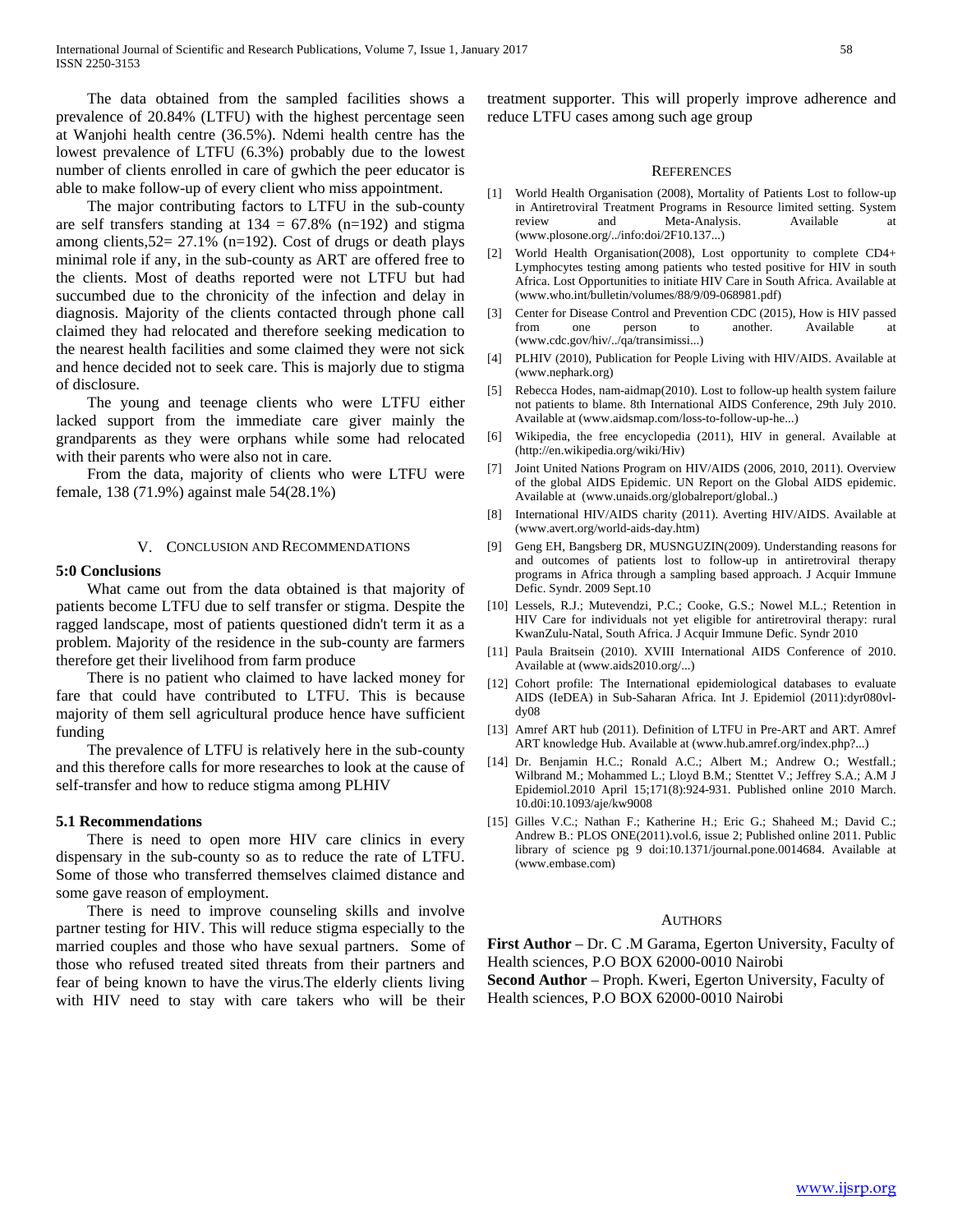The data obtained from the sampled facilities shows a prevalence of 20.84% (LTFU) with the highest percentage seen at Wanjohi health centre (36.5%). Ndemi health centre has the lowest prevalence of LTFU (6.3%) probably due to the lowest number of clients enrolled in care of gwhich the peer educator is able to make follow-up of every client who miss appointment.

 The major contributing factors to LTFU in the sub-county are self transfers standing at  $134 = 67.8\%$  (n=192) and stigma among clients,  $52 = 27.1\%$  (n=192). Cost of drugs or death plays minimal role if any, in the sub-county as ART are offered free to the clients. Most of deaths reported were not LTFU but had succumbed due to the chronicity of the infection and delay in diagnosis. Majority of the clients contacted through phone call claimed they had relocated and therefore seeking medication to the nearest health facilities and some claimed they were not sick and hence decided not to seek care. This is majorly due to stigma of disclosure.

 The young and teenage clients who were LTFU either lacked support from the immediate care giver mainly the grandparents as they were orphans while some had relocated with their parents who were also not in care.

 From the data, majority of clients who were LTFU were female, 138 (71.9%) against male 54(28.1%)

#### V. CONCLUSION AND RECOMMENDATIONS

#### **5:0 Conclusions**

 What came out from the data obtained is that majority of patients become LTFU due to self transfer or stigma. Despite the ragged landscape, most of patients questioned didn't term it as a problem. Majority of the residence in the sub-county are farmers therefore get their livelihood from farm produce

 There is no patient who claimed to have lacked money for fare that could have contributed to LTFU. This is because majority of them sell agricultural produce hence have sufficient funding

 The prevalence of LTFU is relatively here in the sub-county and this therefore calls for more researches to look at the cause of self-transfer and how to reduce stigma among PLHIV

#### **5.1 Recommendations**

 There is need to open more HIV care clinics in every dispensary in the sub-county so as to reduce the rate of LTFU. Some of those who transferred themselves claimed distance and some gave reason of employment.

 There is need to improve counseling skills and involve partner testing for HIV. This will reduce stigma especially to the married couples and those who have sexual partners. Some of those who refused treated sited threats from their partners and fear of being known to have the virus.The elderly clients living with HIV need to stay with care takers who will be their

treatment supporter. This will properly improve adherence and reduce LTFU cases among such age group

#### **REFERENCES**

- [1] World Health Organisation (2008), Mortality of Patients Lost to follow-up in Antiretroviral Treatment Programs in Resource limited setting. System review and Meta-Analysis. Available (www.plosone.org/../info:doi/2F10.137...)
- [2] World Health Organisation(2008), Lost opportunity to complete CD4+ Lymphocytes testing among patients who tested positive for HIV in south Africa. Lost Opportunities to initiate HIV Care in South Africa. Available at (www.who.int/bulletin/volumes/88/9/09-068981.pdf)
- [3] Center for Disease Control and Prevention CDC (2015), How is HIV passed from one person to another. Available at (www.cdc.gov/hiv/../qa/transimissi...)
- [4] PLHIV (2010), Publication for People Living with HIV/AIDS. Available at (www.nephark.org)
- [5] Rebecca Hodes, nam-aidmap(2010). Lost to follow-up health system failure not patients to blame. 8th International AIDS Conference, 29th July 2010. Available at (www.aidsmap.com/loss-to-follow-up-he...)
- [6] Wikipedia, the free encyclopedia (2011), HIV in general. Available at (http://en.wikipedia.org/wiki/Hiv)
- [7] Joint United Nations Program on HIV/AIDS (2006, 2010, 2011). Overview of the global AIDS Epidemic. UN Report on the Global AIDS epidemic. Available at (www.unaids.org/globalreport/global..)
- [8] International HIV/AIDS charity (2011). Averting HIV/AIDS. Available at (www.avert.org/world-aids-day.htm)
- [9] Geng EH, Bangsberg DR, MUSNGUZIN(2009). Understanding reasons for and outcomes of patients lost to follow-up in antiretroviral therapy programs in Africa through a sampling based approach. J Acquir Immune Defic. Syndr. 2009 Sept.10
- [10] Lessels, R.J.; Mutevendzi, P.C.; Cooke, G.S.; Nowel M.L.; Retention in HIV Care for individuals not yet eligible for antiretroviral therapy: rural KwanZulu-Natal, South Africa. J Acquir Immune Defic. Syndr 2010
- [11] Paula Braitsein (2010). XVIII International AIDS Conference of 2010. Available at (www.aids2010.org/...)
- [12] Cohort profile: The International epidemiological databases to evaluate AIDS (IeDEA) in Sub-Saharan Africa. Int J. Epidemiol (2011):dyr080vldy08
- [13] Amref ART hub (2011). Definition of LTFU in Pre-ART and ART. Amref ART knowledge Hub. Available at (www.hub.amref.org/index.php?...)
- [14] Dr. Benjamin H.C.; Ronald A.C.; Albert M.; Andrew O.; Westfall.; Wilbrand M.; Mohammed L.; Lloyd B.M.; Stenttet V.; Jeffrey S.A.; A.M J Epidemiol.2010 April 15;171(8):924-931. Published online 2010 March. 10.d0i:10.1093/aje/kw9008
- [15] Gilles V.C.; Nathan F.; Katherine H.; Eric G.; Shaheed M.; David C.; Andrew B.: PLOS ONE(2011).vol.6, issue 2; Published online 2011. Public library of science pg 9 doi:10.1371/journal.pone.0014684. Available at (www.embase.com)

#### **AUTHORS**

**First Author** – Dr. C .M Garama, Egerton University, Faculty of Health sciences, P.O BOX 62000-0010 Nairobi **Second Author** – Proph. Kweri, Egerton University, Faculty of

Health sciences, P.O BOX 62000-0010 Nairobi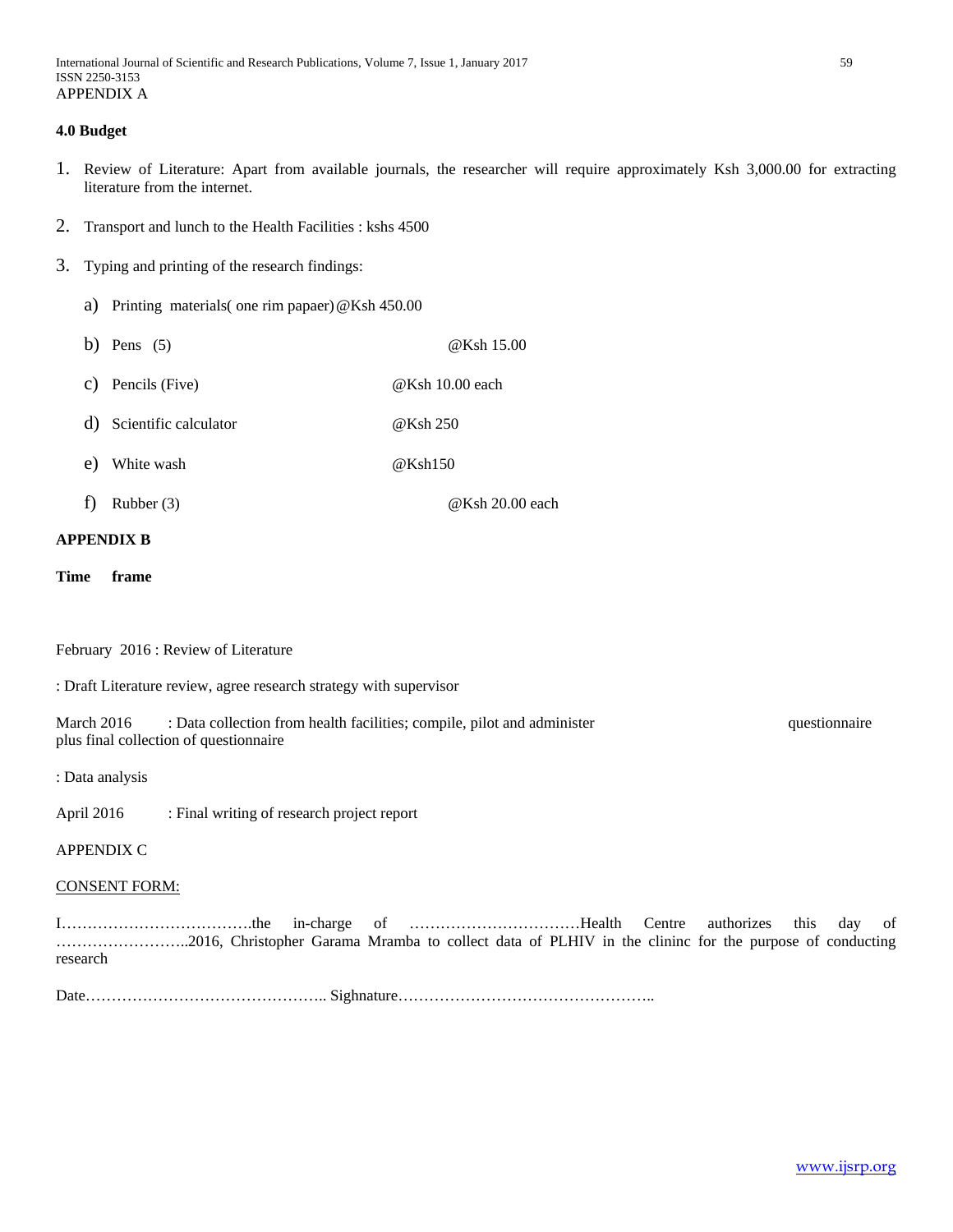## **4.0 Budget**

- 1. Review of Literature: Apart from available journals, the researcher will require approximately Ksh 3,000.00 for extracting literature from the internet.
- 2. Transport and lunch to the Health Facilities : kshs 4500
- 3. Typing and printing of the research findings:
	- a) Printing materials( one rim papaer)@Ksh 450.00
	- b) Pens  $(5)$  @Ksh 15.00
	- c) Pencils (Five) @Ksh 10.00 each
	- d) Scientific calculator @Ksh 250
	- e) White wash  $@Ksh150$
	- f) Rubber (3)  $@Ksh 20.00$  each

## **APPENDIX B**

**Time frame**

February 2016 : Review of Literature

: Draft Literature review, agree research strategy with supervisor

March 2016 : Data collection from health facilities; compile, pilot and administer example, questionnaire plus final collection of questionnaire

: Data analysis

April 2016 : Final writing of research project report

APPENDIX C

## CONSENT FORM:

I……………………………….the in-charge of ……………………………Health Centre authorizes this day of ……………………..2016, Christopher Garama Mramba to collect data of PLHIV in the clininc for the purpose of conducting research

Date……………………………………….. Sighnature…………………………………………..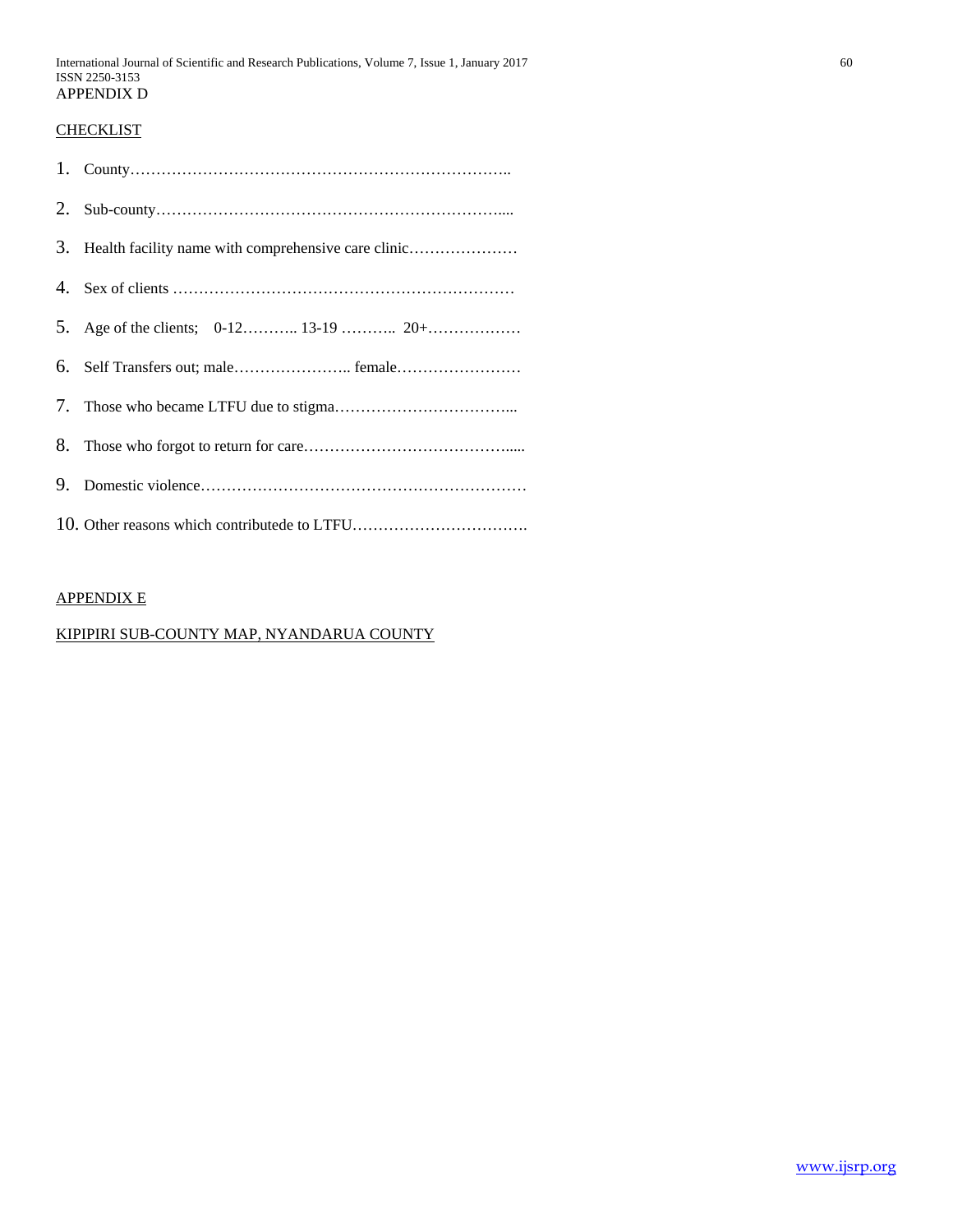# **CHECKLIST**

| 3. Health facility name with comprehensive care clinic |
|--------------------------------------------------------|
|                                                        |
|                                                        |
|                                                        |
|                                                        |
|                                                        |
|                                                        |
|                                                        |

# APPENDIX E

# KIPIPIRI SUB-COUNTY MAP, NYANDARUA COUNTY